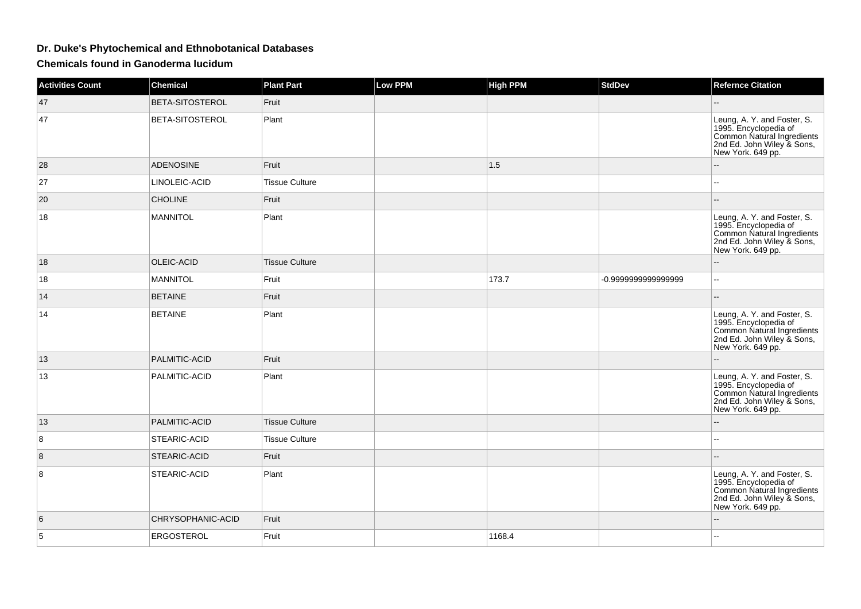## **Dr. Duke's Phytochemical and Ethnobotanical Databases**

**Chemicals found in Ganoderma lucidum**

| <b>Activities Count</b> | <b>Chemical</b>   | <b>Plant Part</b>     | <b>Low PPM</b> | <b>High PPM</b> | <b>StdDev</b>       | <b>Refernce Citation</b>                                                                                                              |
|-------------------------|-------------------|-----------------------|----------------|-----------------|---------------------|---------------------------------------------------------------------------------------------------------------------------------------|
| 47                      | BETA-SITOSTEROL   | Fruit                 |                |                 |                     |                                                                                                                                       |
| 47                      | BETA-SITOSTEROL   | Plant                 |                |                 |                     | Leung, A. Y. and Foster, S.<br>1995. Encyclopedia of<br>Common Natural Ingredients<br>2nd Ed. John Wiley & Sons,<br>New York. 649 pp. |
| 28                      | <b>ADENOSINE</b>  | Fruit                 |                | 1.5             |                     |                                                                                                                                       |
| 27                      | LINOLEIC-ACID     | <b>Tissue Culture</b> |                |                 |                     | ÷÷.                                                                                                                                   |
| 20                      | <b>CHOLINE</b>    | Fruit                 |                |                 |                     |                                                                                                                                       |
| 18                      | <b>MANNITOL</b>   | Plant                 |                |                 |                     | Leung, A. Y. and Foster, S.<br>1995. Encyclopedia of<br>Common Natural Ingredients<br>2nd Ed. John Wiley & Sons,<br>New York. 649 pp. |
| 18                      | OLEIC-ACID        | <b>Tissue Culture</b> |                |                 |                     |                                                                                                                                       |
| 18                      | <b>MANNITOL</b>   | Fruit                 |                | 173.7           | -0.9999999999999999 | Щ,                                                                                                                                    |
| 14                      | <b>BETAINE</b>    | Fruit                 |                |                 |                     | --                                                                                                                                    |
| 14                      | <b>BETAINE</b>    | Plant                 |                |                 |                     | Leung, A. Y. and Foster, S.<br>1995. Encyclopedia of<br>Common Natural Ingredients<br>2nd Ed. John Wiley & Sons,<br>New York. 649 pp. |
| 13                      | PALMITIC-ACID     | Fruit                 |                |                 |                     |                                                                                                                                       |
| 13                      | PALMITIC-ACID     | Plant                 |                |                 |                     | Leung, A. Y. and Foster, S.<br>1995. Encyclopedia of<br>Common Natural Ingredients<br>2nd Ed. John Wiley & Sons,<br>New York. 649 pp. |
| 13                      | PALMITIC-ACID     | <b>Tissue Culture</b> |                |                 |                     |                                                                                                                                       |
| 8                       | STEARIC-ACID      | <b>Tissue Culture</b> |                |                 |                     | ۵.                                                                                                                                    |
| $\bf 8$                 | STEARIC-ACID      | Fruit                 |                |                 |                     | --                                                                                                                                    |
| 8                       | STEARIC-ACID      | Plant                 |                |                 |                     | Leung, A. Y. and Foster, S.<br>1995. Encyclopedia of<br>Common Natural Ingredients<br>2nd Ed. John Wiley & Sons,<br>New York. 649 pp. |
| 6                       | CHRYSOPHANIC-ACID | Fruit                 |                |                 |                     |                                                                                                                                       |
| 5                       | <b>ERGOSTEROL</b> | Fruit                 |                | 1168.4          |                     |                                                                                                                                       |